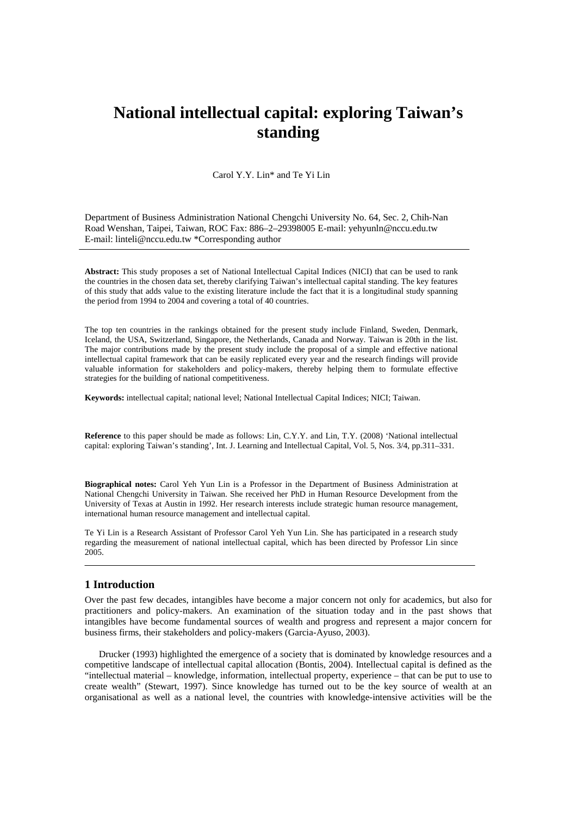# **National intellectual capital: exploring Taiwan's standing**

Carol Y.Y. Lin\* and Te Yi Lin

Department of Business Administration National Chengchi University No. 64, Sec. 2, Chih-Nan Road Wenshan, Taipei, Taiwan, ROC Fax: 886–2–29398005 E-mail: yehyunln@nccu.edu.tw E-mail: linteli@nccu.edu.tw \*Corresponding author

**Abstract:** This study proposes a set of National Intellectual Capital Indices (NICI) that can be used to rank the countries in the chosen data set, thereby clarifying Taiwan's intellectual capital standing. The key features of this study that adds value to the existing literature include the fact that it is a longitudinal study spanning the period from 1994 to 2004 and covering a total of 40 countries.

The top ten countries in the rankings obtained for the present study include Finland, Sweden, Denmark, Iceland, the USA, Switzerland, Singapore, the Netherlands, Canada and Norway. Taiwan is 20th in the list. The major contributions made by the present study include the proposal of a simple and effective national intellectual capital framework that can be easily replicated every year and the research findings will provide valuable information for stakeholders and policy-makers, thereby helping them to formulate effective strategies for the building of national competitiveness.

**Keywords:** intellectual capital; national level; National Intellectual Capital Indices; NICI; Taiwan.

**Reference** to this paper should be made as follows: Lin, C.Y.Y. and Lin, T.Y. (2008) 'National intellectual capital: exploring Taiwan's standing', Int. J. Learning and Intellectual Capital, Vol. 5, Nos. 3/4, pp.311–331.

**Biographical notes:** Carol Yeh Yun Lin is a Professor in the Department of Business Administration at National Chengchi University in Taiwan. She received her PhD in Human Resource Development from the University of Texas at Austin in 1992. Her research interests include strategic human resource management, international human resource management and intellectual capital.

Te Yi Lin is a Research Assistant of Professor Carol Yeh Yun Lin. She has participated in a research study regarding the measurement of national intellectual capital, which has been directed by Professor Lin since 2005.

# **1 Introduction**

Over the past few decades, intangibles have become a major concern not only for academics, but also for practitioners and policy-makers. An examination of the situation today and in the past shows that intangibles have become fundamental sources of wealth and progress and represent a major concern for business firms, their stakeholders and policy-makers (Garcia-Ayuso, 2003).

Drucker (1993) highlighted the emergence of a society that is dominated by knowledge resources and a competitive landscape of intellectual capital allocation (Bontis, 2004). Intellectual capital is defined as the "intellectual material – knowledge, information, intellectual property, experience – that can be put to use to create wealth" (Stewart, 1997). Since knowledge has turned out to be the key source of wealth at an organisational as well as a national level, the countries with knowledge-intensive activities will be the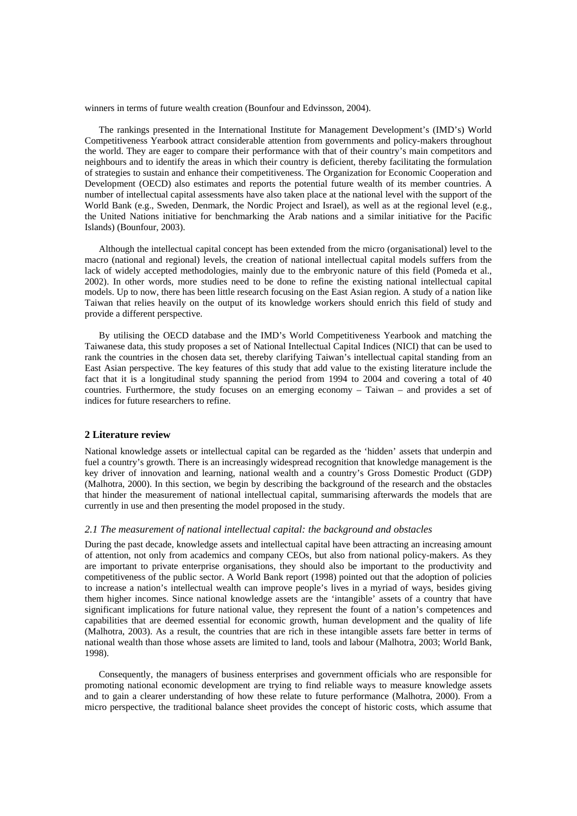winners in terms of future wealth creation (Bounfour and Edvinsson, 2004).

The rankings presented in the International Institute for Management Development's (IMD's) World Competitiveness Yearbook attract considerable attention from governments and policy-makers throughout the world. They are eager to compare their performance with that of their country's main competitors and neighbours and to identify the areas in which their country is deficient, thereby facilitating the formulation of strategies to sustain and enhance their competitiveness. The Organization for Economic Cooperation and Development (OECD) also estimates and reports the potential future wealth of its member countries. A number of intellectual capital assessments have also taken place at the national level with the support of the World Bank (e.g., Sweden, Denmark, the Nordic Project and Israel), as well as at the regional level (e.g., the United Nations initiative for benchmarking the Arab nations and a similar initiative for the Pacific Islands) (Bounfour, 2003).

Although the intellectual capital concept has been extended from the micro (organisational) level to the macro (national and regional) levels, the creation of national intellectual capital models suffers from the lack of widely accepted methodologies, mainly due to the embryonic nature of this field (Pomeda et al., 2002). In other words, more studies need to be done to refine the existing national intellectual capital models. Up to now, there has been little research focusing on the East Asian region. A study of a nation like Taiwan that relies heavily on the output of its knowledge workers should enrich this field of study and provide a different perspective.

By utilising the OECD database and the IMD's World Competitiveness Yearbook and matching the Taiwanese data, this study proposes a set of National Intellectual Capital Indices (NICI) that can be used to rank the countries in the chosen data set, thereby clarifying Taiwan's intellectual capital standing from an East Asian perspective. The key features of this study that add value to the existing literature include the fact that it is a longitudinal study spanning the period from 1994 to 2004 and covering a total of 40 countries. Furthermore, the study focuses on an emerging economy – Taiwan – and provides a set of indices for future researchers to refine.

# **2 Literature review**

National knowledge assets or intellectual capital can be regarded as the 'hidden' assets that underpin and fuel a country's growth. There is an increasingly widespread recognition that knowledge management is the key driver of innovation and learning, national wealth and a country's Gross Domestic Product (GDP) (Malhotra, 2000). In this section, we begin by describing the background of the research and the obstacles that hinder the measurement of national intellectual capital, summarising afterwards the models that are currently in use and then presenting the model proposed in the study.

# *2.1 The measurement of national intellectual capital: the background and obstacles*

During the past decade, knowledge assets and intellectual capital have been attracting an increasing amount of attention, not only from academics and company CEOs, but also from national policy-makers. As they are important to private enterprise organisations, they should also be important to the productivity and competitiveness of the public sector. A World Bank report (1998) pointed out that the adoption of policies to increase a nation's intellectual wealth can improve people's lives in a myriad of ways, besides giving them higher incomes. Since national knowledge assets are the 'intangible' assets of a country that have significant implications for future national value, they represent the fount of a nation's competences and capabilities that are deemed essential for economic growth, human development and the quality of life (Malhotra, 2003). As a result, the countries that are rich in these intangible assets fare better in terms of national wealth than those whose assets are limited to land, tools and labour (Malhotra, 2003; World Bank, 1998).

Consequently, the managers of business enterprises and government officials who are responsible for promoting national economic development are trying to find reliable ways to measure knowledge assets and to gain a clearer understanding of how these relate to future performance (Malhotra, 2000). From a micro perspective, the traditional balance sheet provides the concept of historic costs, which assume that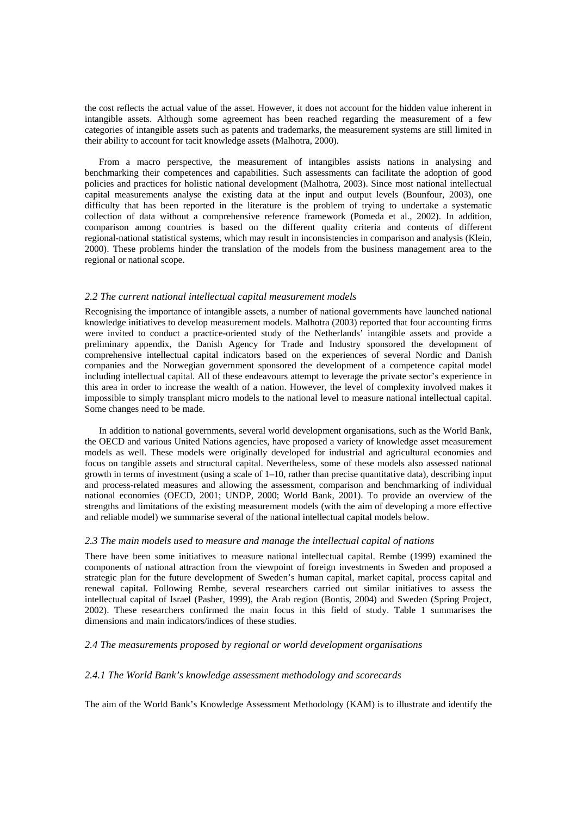the cost reflects the actual value of the asset. However, it does not account for the hidden value inherent in intangible assets. Although some agreement has been reached regarding the measurement of a few categories of intangible assets such as patents and trademarks, the measurement systems are still limited in their ability to account for tacit knowledge assets (Malhotra, 2000).

From a macro perspective, the measurement of intangibles assists nations in analysing and benchmarking their competences and capabilities. Such assessments can facilitate the adoption of good policies and practices for holistic national development (Malhotra, 2003). Since most national intellectual capital measurements analyse the existing data at the input and output levels (Bounfour, 2003), one difficulty that has been reported in the literature is the problem of trying to undertake a systematic collection of data without a comprehensive reference framework (Pomeda et al., 2002). In addition, comparison among countries is based on the different quality criteria and contents of different regional-national statistical systems, which may result in inconsistencies in comparison and analysis (Klein, 2000). These problems hinder the translation of the models from the business management area to the regional or national scope.

### *2.2 The current national intellectual capital measurement models*

Recognising the importance of intangible assets, a number of national governments have launched national knowledge initiatives to develop measurement models. Malhotra (2003) reported that four accounting firms were invited to conduct a practice-oriented study of the Netherlands' intangible assets and provide a preliminary appendix, the Danish Agency for Trade and Industry sponsored the development of comprehensive intellectual capital indicators based on the experiences of several Nordic and Danish companies and the Norwegian government sponsored the development of a competence capital model including intellectual capital. All of these endeavours attempt to leverage the private sector's experience in this area in order to increase the wealth of a nation. However, the level of complexity involved makes it impossible to simply transplant micro models to the national level to measure national intellectual capital. Some changes need to be made.

In addition to national governments, several world development organisations, such as the World Bank, the OECD and various United Nations agencies, have proposed a variety of knowledge asset measurement models as well. These models were originally developed for industrial and agricultural economies and focus on tangible assets and structural capital. Nevertheless, some of these models also assessed national growth in terms of investment (using a scale of 1–10, rather than precise quantitative data), describing input and process-related measures and allowing the assessment, comparison and benchmarking of individual national economies (OECD, 2001; UNDP, 2000; World Bank, 2001). To provide an overview of the strengths and limitations of the existing measurement models (with the aim of developing a more effective and reliable model) we summarise several of the national intellectual capital models below.

#### *2.3 The main models used to measure and manage the intellectual capital of nations*

There have been some initiatives to measure national intellectual capital. Rembe (1999) examined the components of national attraction from the viewpoint of foreign investments in Sweden and proposed a strategic plan for the future development of Sweden's human capital, market capital, process capital and renewal capital. Following Rembe, several researchers carried out similar initiatives to assess the intellectual capital of Israel (Pasher, 1999), the Arab region (Bontis, 2004) and Sweden (Spring Project, 2002). These researchers confirmed the main focus in this field of study. Table 1 summarises the dimensions and main indicators/indices of these studies.

# *2.4 The measurements proposed by regional or world development organisations*

# *2.4.1 The World Bank's knowledge assessment methodology and scorecards*

The aim of the World Bank's Knowledge Assessment Methodology (KAM) is to illustrate and identify the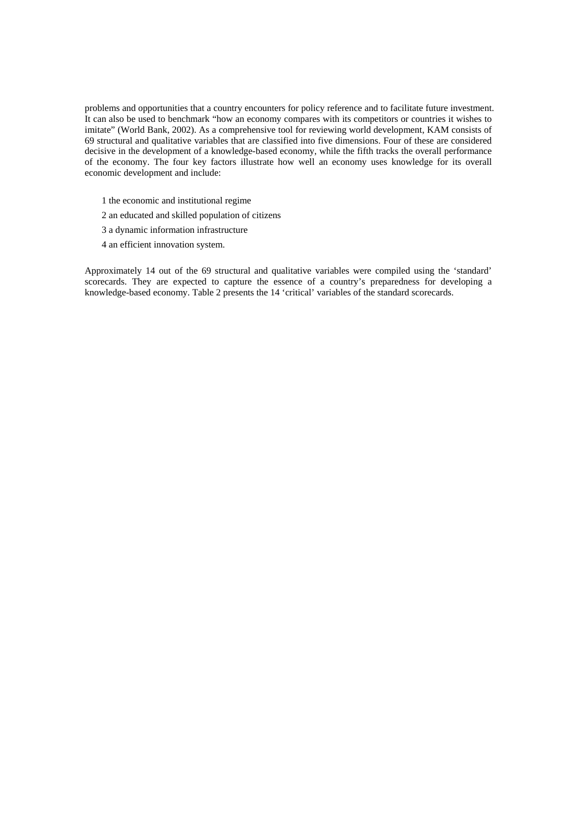problems and opportunities that a country encounters for policy reference and to facilitate future investment. It can also be used to benchmark "how an economy compares with its competitors or countries it wishes to imitate" (World Bank, 2002). As a comprehensive tool for reviewing world development, KAM consists of 69 structural and qualitative variables that are classified into five dimensions. Four of these are considered decisive in the development of a knowledge-based economy, while the fifth tracks the overall performance of the economy. The four key factors illustrate how well an economy uses knowledge for its overall economic development and include:

- 1 the economic and institutional regime
- 2 an educated and skilled population of citizens
- 3 a dynamic information infrastructure
- 4 an efficient innovation system.

Approximately 14 out of the 69 structural and qualitative variables were compiled using the 'standard' scorecards. They are expected to capture the essence of a country's preparedness for developing a knowledge-based economy. Table 2 presents the 14 'critical' variables of the standard scorecards.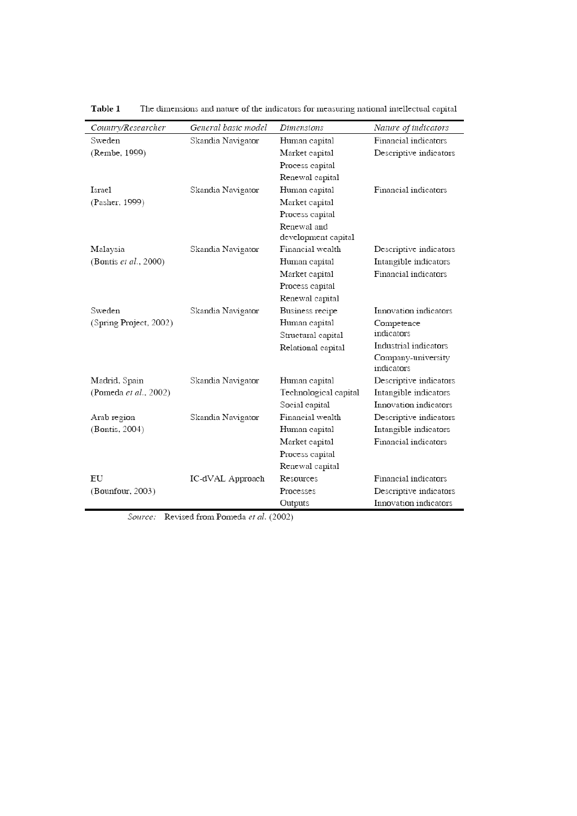| Country/Researcher     | General basic model | Dimensions            | Nature of indicators             |
|------------------------|---------------------|-----------------------|----------------------------------|
| Sweden                 | Skandia Navigator   | Human capital         | Financial indicators             |
| (Rembe, 1999)          |                     | Market capital        | Descriptive indicators           |
|                        |                     | Process capital       |                                  |
|                        |                     | Renewal capital       |                                  |
| Israel                 | Skandia Navigator   | Human capital         | Financial indicators             |
| (Pasher, 1999)         |                     | Market capital        |                                  |
|                        |                     | Process capital       |                                  |
|                        |                     | Renewal and           |                                  |
|                        |                     | development capital   |                                  |
| Malaysia               | Skandia Navigator   | Financial wealth      | Descriptive indicators           |
| (Bontis et al., 2000)  |                     | Human capital         | Intangible indicators            |
|                        |                     | Market capital        | Financial indicators             |
|                        |                     | Process capital       |                                  |
|                        |                     | Renewal capital       |                                  |
| Sweden                 | Skandia Navigator   | Business recipe       | Innovation indicators            |
| (Spring Project, 2002) |                     | Human capital         | Competence                       |
|                        |                     | Structural capital    | indicators                       |
|                        |                     | Relational capital    | Industrial indicators            |
|                        |                     |                       | Company-university<br>indicators |
| Madrid, Spain          | Skandia Navigator   | Human capital         | Descriptive indicators           |
| (Pomeda et al., 2002)  |                     | Technological capital | Intangible indicators            |
|                        |                     | Social capital        | Innovation indicators            |
| Arab region            | Skandia Navigator   | Financial wealth      | Descriptive indicators           |
| (Bontis, 2004)         |                     | Human capital         | Intangible indicators            |
|                        |                     | Market capital        | Financial indicators             |
|                        |                     | Process capital       |                                  |
|                        |                     | Renewal capital       |                                  |
| EU                     | IC-dVAL Approach    | Resources             | Financial indicators             |
| (Bounfour, 2003)       |                     | Processes             | Descriptive indicators           |
|                        |                     | Outputs               | Innovation indicators            |

Table 1 The dimensions and nature of the indicators for measuring national intellectual capital

Source: Revised from Pomeda et al. (2002)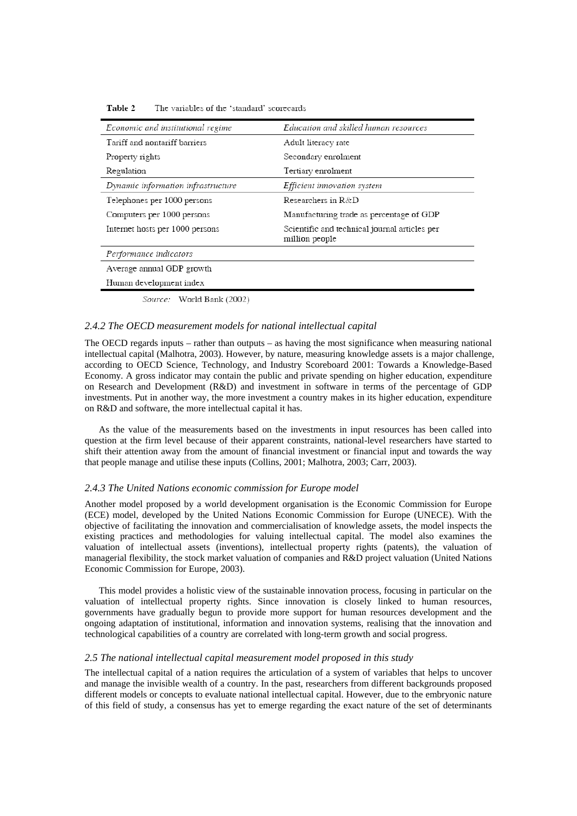| Economic and institutional regime                                                                      | Education and skilled human resources                           |
|--------------------------------------------------------------------------------------------------------|-----------------------------------------------------------------|
| Tariff and nontariff barriers                                                                          | Adult literacy rate                                             |
| Property rights                                                                                        | Secondary enrolment                                             |
| Regulation                                                                                             | Tertiary enrolment                                              |
| Dynamic information infrastructure                                                                     | Efficient innovation system                                     |
| Telephones per 1000 persons                                                                            | Researchers in $R\&D$                                           |
| Computers per 1000 persons                                                                             | Manufacturing trade as percentage of GDP                        |
| Internet hosts per 1000 persons                                                                        | Scientific and technical journal articles per<br>million people |
| Performance indicators                                                                                 |                                                                 |
| Average annual GDP growth                                                                              |                                                                 |
| Human development index                                                                                |                                                                 |
| $\mathcal{C}_{\text{average}} = \mathbf{W}_{\text{total}} + \mathbf{D}_{\text{model}} + \mathbf{1000}$ |                                                                 |

Table 2 The variables of the 'standard' scorecards

Source: World Bank (2002)

# *2.4.2 The OECD measurement models for national intellectual capital*

The OECD regards inputs – rather than outputs – as having the most significance when measuring national intellectual capital (Malhotra, 2003). However, by nature, measuring knowledge assets is a major challenge, according to OECD Science, Technology, and Industry Scoreboard 2001: Towards a Knowledge-Based Economy. A gross indicator may contain the public and private spending on higher education, expenditure on Research and Development (R&D) and investment in software in terms of the percentage of GDP investments. Put in another way, the more investment a country makes in its higher education, expenditure on R&D and software, the more intellectual capital it has.

As the value of the measurements based on the investments in input resources has been called into question at the firm level because of their apparent constraints, national-level researchers have started to shift their attention away from the amount of financial investment or financial input and towards the way that people manage and utilise these inputs (Collins, 2001; Malhotra, 2003; Carr, 2003).

# *2.4.3 The United Nations economic commission for Europe model*

Another model proposed by a world development organisation is the Economic Commission for Europe (ECE) model, developed by the United Nations Economic Commission for Europe (UNECE). With the objective of facilitating the innovation and commercialisation of knowledge assets, the model inspects the existing practices and methodologies for valuing intellectual capital. The model also examines the valuation of intellectual assets (inventions), intellectual property rights (patents), the valuation of managerial flexibility, the stock market valuation of companies and R&D project valuation (United Nations Economic Commission for Europe, 2003).

This model provides a holistic view of the sustainable innovation process, focusing in particular on the valuation of intellectual property rights. Since innovation is closely linked to human resources, governments have gradually begun to provide more support for human resources development and the ongoing adaptation of institutional, information and innovation systems, realising that the innovation and technological capabilities of a country are correlated with long-term growth and social progress.

#### *2.5 The national intellectual capital measurement model proposed in this study*

The intellectual capital of a nation requires the articulation of a system of variables that helps to uncover and manage the invisible wealth of a country. In the past, researchers from different backgrounds proposed different models or concepts to evaluate national intellectual capital. However, due to the embryonic nature of this field of study, a consensus has yet to emerge regarding the exact nature of the set of determinants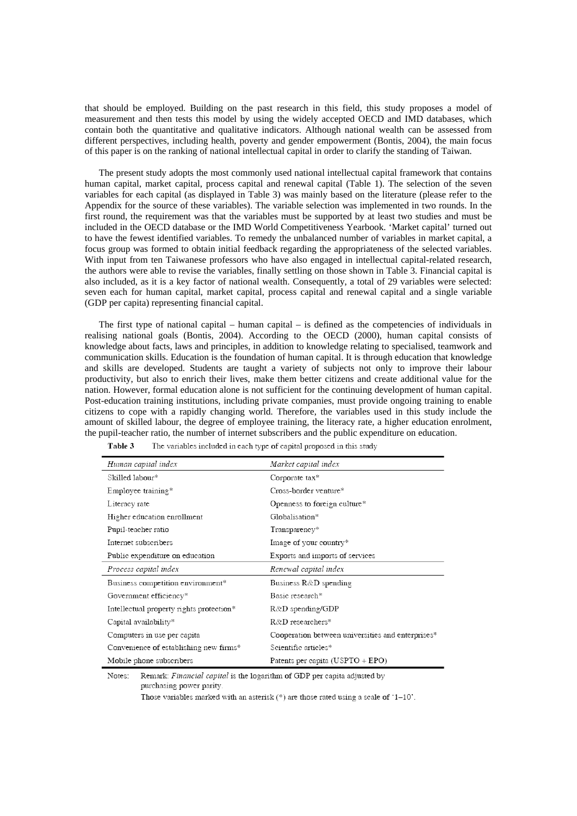that should be employed. Building on the past research in this field, this study proposes a model of measurement and then tests this model by using the widely accepted OECD and IMD databases, which contain both the quantitative and qualitative indicators. Although national wealth can be assessed from different perspectives, including health, poverty and gender empowerment (Bontis, 2004), the main focus of this paper is on the ranking of national intellectual capital in order to clarify the standing of Taiwan.

The present study adopts the most commonly used national intellectual capital framework that contains human capital, market capital, process capital and renewal capital (Table 1). The selection of the seven variables for each capital (as displayed in Table 3) was mainly based on the literature (please refer to the Appendix for the source of these variables). The variable selection was implemented in two rounds. In the first round, the requirement was that the variables must be supported by at least two studies and must be included in the OECD database or the IMD World Competitiveness Yearbook. 'Market capital' turned out to have the fewest identified variables. To remedy the unbalanced number of variables in market capital, a focus group was formed to obtain initial feedback regarding the appropriateness of the selected variables. With input from ten Taiwanese professors who have also engaged in intellectual capital-related research, the authors were able to revise the variables, finally settling on those shown in Table 3. Financial capital is also included, as it is a key factor of national wealth. Consequently, a total of 29 variables were selected: seven each for human capital, market capital, process capital and renewal capital and a single variable (GDP per capita) representing financial capital.

The first type of national capital – human capital – is defined as the competencies of individuals in realising national goals (Bontis, 2004). According to the OECD (2000), human capital consists of knowledge about facts, laws and principles, in addition to knowledge relating to specialised, teamwork and communication skills. Education is the foundation of human capital. It is through education that knowledge and skills are developed. Students are taught a variety of subjects not only to improve their labour productivity, but also to enrich their lives, make them better citizens and create additional value for the nation. However, formal education alone is not sufficient for the continuing development of human capital. Post-education training institutions, including private companies, must provide ongoing training to enable citizens to cope with a rapidly changing world. Therefore, the variables used in this study include the amount of skilled labour, the degree of employee training, the literacy rate, a higher education enrolment, the pupil-teacher ratio, the number of internet subscribers and the public expenditure on education.

| Human capital index                      | Market capital index                              |
|------------------------------------------|---------------------------------------------------|
| Skilled labour*                          | Corporate tax*                                    |
| Employee training*                       | Cross-border venture*                             |
| Literacy rate                            | Openness to foreign culture*                      |
| Higher education enrollment              | Globalisation*                                    |
| Pupil-teacher ratio                      | Transparency*                                     |
| Internet subscribers                     | Image of your country*                            |
| Public expenditure on education          | Exports and imports of services                   |
| Process capital index                    | Renewal capital index                             |
| Business competition environment*        | Business $R\&D$ spending                          |
| Government efficiency*                   | Basic research*                                   |
| Intellectual property rights protection* | $R&D$ spending/GDP                                |
| Capital availability*                    | $R \& D$ researchers*                             |
| Computers in use per capita              | Cooperation between universities and enterprises* |
| Convenience of establishing new firms*   | Scientific articles*                              |
| Mobile phone subscribers                 | Patents per capita (USPTO + EPO)                  |

Table 3 The variables included in each type of capital proposed in this study

Remark: Financial capital is the logarithm of GDP per capita adjusted by Notes: purchasing power parity.

Those variables marked with an asterisk  $(*)$  are those rated using a scale of '1-10'.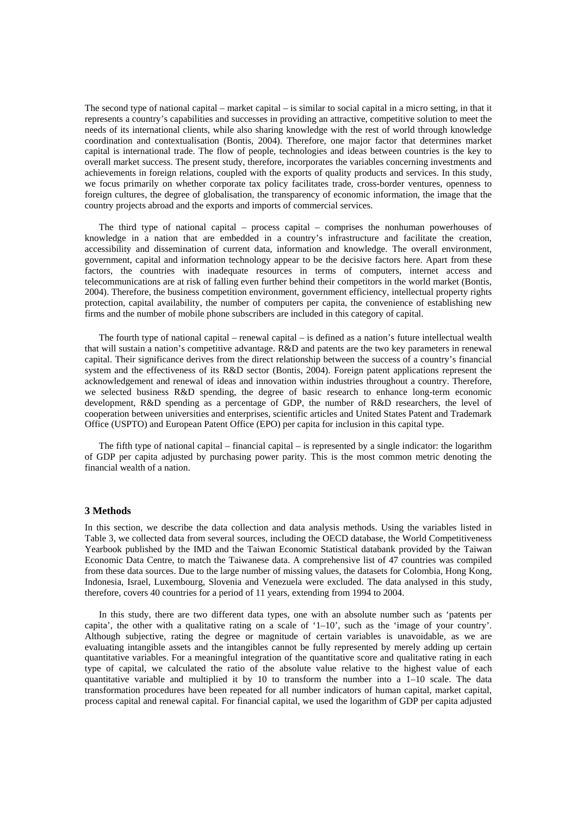The second type of national capital – market capital – is similar to social capital in a micro setting, in that it represents a country's capabilities and successes in providing an attractive, competitive solution to meet the needs of its international clients, while also sharing knowledge with the rest of world through knowledge coordination and contextualisation (Bontis, 2004). Therefore, one major factor that determines market capital is international trade. The flow of people, technologies and ideas between countries is the key to overall market success. The present study, therefore, incorporates the variables concerning investments and achievements in foreign relations, coupled with the exports of quality products and services. In this study, we focus primarily on whether corporate tax policy facilitates trade, cross-border ventures, openness to foreign cultures, the degree of globalisation, the transparency of economic information, the image that the country projects abroad and the exports and imports of commercial services.

The third type of national capital – process capital – comprises the nonhuman powerhouses of knowledge in a nation that are embedded in a country's infrastructure and facilitate the creation, accessibility and dissemination of current data, information and knowledge. The overall environment, government, capital and information technology appear to be the decisive factors here. Apart from these factors, the countries with inadequate resources in terms of computers, internet access and telecommunications are at risk of falling even further behind their competitors in the world market (Bontis, 2004). Therefore, the business competition environment, government efficiency, intellectual property rights protection, capital availability, the number of computers per capita, the convenience of establishing new firms and the number of mobile phone subscribers are included in this category of capital.

The fourth type of national capital – renewal capital – is defined as a nation's future intellectual wealth that will sustain a nation's competitive advantage. R&D and patents are the two key parameters in renewal capital. Their significance derives from the direct relationship between the success of a country's financial system and the effectiveness of its R&D sector (Bontis, 2004). Foreign patent applications represent the acknowledgement and renewal of ideas and innovation within industries throughout a country. Therefore, we selected business R&D spending, the degree of basic research to enhance long-term economic development, R&D spending as a percentage of GDP, the number of R&D researchers, the level of cooperation between universities and enterprises, scientific articles and United States Patent and Trademark Office (USPTO) and European Patent Office (EPO) per capita for inclusion in this capital type.

The fifth type of national capital – financial capital – is represented by a single indicator: the logarithm of GDP per capita adjusted by purchasing power parity. This is the most common metric denoting the financial wealth of a nation.

#### **3 Methods**

In this section, we describe the data collection and data analysis methods. Using the variables listed in Table 3, we collected data from several sources, including the OECD database, the World Competitiveness Yearbook published by the IMD and the Taiwan Economic Statistical databank provided by the Taiwan Economic Data Centre, to match the Taiwanese data. A comprehensive list of 47 countries was compiled from these data sources. Due to the large number of missing values, the datasets for Colombia, Hong Kong, Indonesia, Israel, Luxembourg, Slovenia and Venezuela were excluded. The data analysed in this study, therefore, covers 40 countries for a period of 11 years, extending from 1994 to 2004.

In this study, there are two different data types, one with an absolute number such as 'patents per capita', the other with a qualitative rating on a scale of '1–10', such as the 'image of your country'. Although subjective, rating the degree or magnitude of certain variables is unavoidable, as we are evaluating intangible assets and the intangibles cannot be fully represented by merely adding up certain quantitative variables. For a meaningful integration of the quantitative score and qualitative rating in each type of capital, we calculated the ratio of the absolute value relative to the highest value of each quantitative variable and multiplied it by 10 to transform the number into a 1–10 scale. The data transformation procedures have been repeated for all number indicators of human capital, market capital, process capital and renewal capital. For financial capital, we used the logarithm of GDP per capita adjusted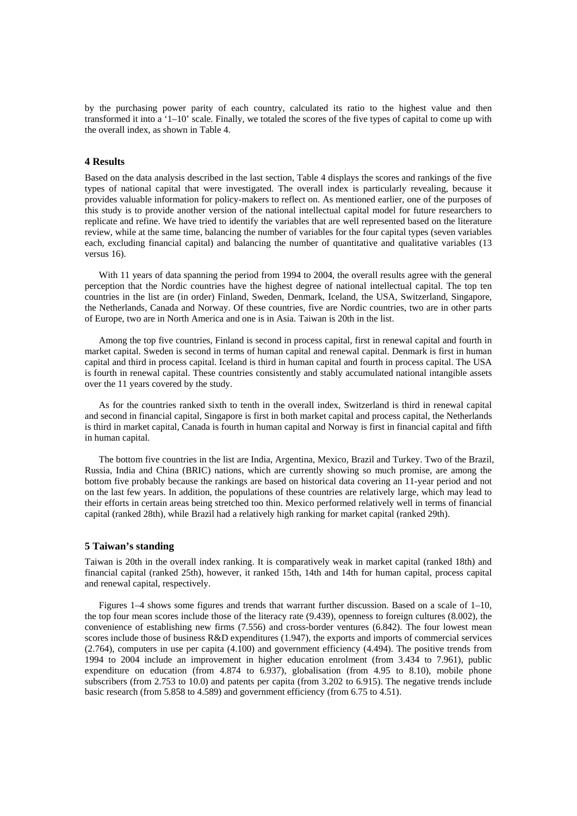by the purchasing power parity of each country, calculated its ratio to the highest value and then transformed it into a '1–10' scale. Finally, we totaled the scores of the five types of capital to come up with the overall index, as shown in Table 4.

#### **4 Results**

Based on the data analysis described in the last section, Table 4 displays the scores and rankings of the five types of national capital that were investigated. The overall index is particularly revealing, because it provides valuable information for policy-makers to reflect on. As mentioned earlier, one of the purposes of this study is to provide another version of the national intellectual capital model for future researchers to replicate and refine. We have tried to identify the variables that are well represented based on the literature review, while at the same time, balancing the number of variables for the four capital types (seven variables each, excluding financial capital) and balancing the number of quantitative and qualitative variables (13 versus 16).

With 11 years of data spanning the period from 1994 to 2004, the overall results agree with the general perception that the Nordic countries have the highest degree of national intellectual capital. The top ten countries in the list are (in order) Finland, Sweden, Denmark, Iceland, the USA, Switzerland, Singapore, the Netherlands, Canada and Norway. Of these countries, five are Nordic countries, two are in other parts of Europe, two are in North America and one is in Asia. Taiwan is 20th in the list.

Among the top five countries, Finland is second in process capital, first in renewal capital and fourth in market capital. Sweden is second in terms of human capital and renewal capital. Denmark is first in human capital and third in process capital. Iceland is third in human capital and fourth in process capital. The USA is fourth in renewal capital. These countries consistently and stably accumulated national intangible assets over the 11 years covered by the study.

As for the countries ranked sixth to tenth in the overall index, Switzerland is third in renewal capital and second in financial capital, Singapore is first in both market capital and process capital, the Netherlands is third in market capital, Canada is fourth in human capital and Norway is first in financial capital and fifth in human capital.

The bottom five countries in the list are India, Argentina, Mexico, Brazil and Turkey. Two of the Brazil, Russia, India and China (BRIC) nations, which are currently showing so much promise, are among the bottom five probably because the rankings are based on historical data covering an 11-year period and not on the last few years. In addition, the populations of these countries are relatively large, which may lead to their efforts in certain areas being stretched too thin. Mexico performed relatively well in terms of financial capital (ranked 28th), while Brazil had a relatively high ranking for market capital (ranked 29th).

#### **5 Taiwan's standing**

Taiwan is 20th in the overall index ranking. It is comparatively weak in market capital (ranked 18th) and financial capital (ranked 25th), however, it ranked 15th, 14th and 14th for human capital, process capital and renewal capital, respectively.

Figures 1–4 shows some figures and trends that warrant further discussion. Based on a scale of 1–10, the top four mean scores include those of the literacy rate (9.439), openness to foreign cultures (8.002), the convenience of establishing new firms (7.556) and cross-border ventures (6.842). The four lowest mean scores include those of business R&D expenditures (1.947), the exports and imports of commercial services (2.764), computers in use per capita (4.100) and government efficiency (4.494). The positive trends from 1994 to 2004 include an improvement in higher education enrolment (from 3.434 to 7.961), public expenditure on education (from 4.874 to 6.937), globalisation (from 4.95 to 8.10), mobile phone subscribers (from 2.753 to 10.0) and patents per capita (from 3.202 to 6.915). The negative trends include basic research (from 5.858 to 4.589) and government efficiency (from 6.75 to 4.51).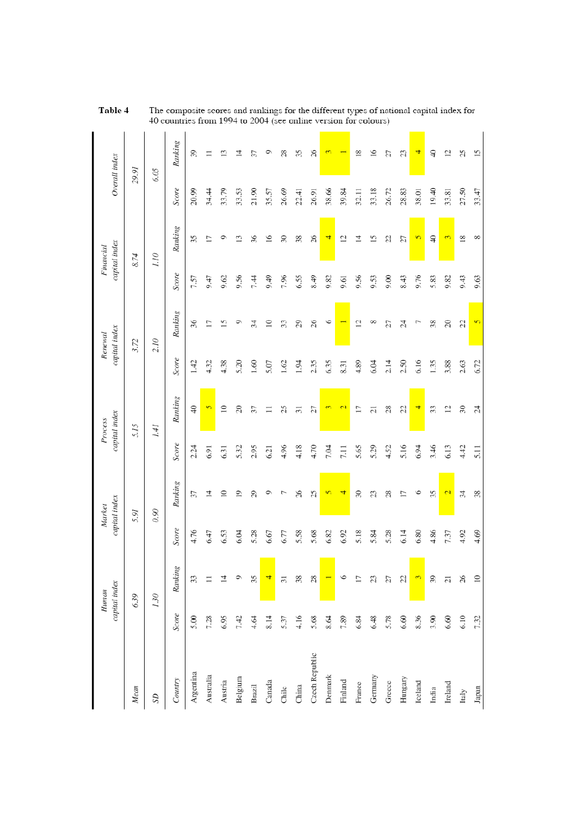|                |       | capital index<br>Human |       | capital index<br>Market |       | capital index<br>Process |       | capital index<br>Renewal |       | capital index<br>Financial |       | Overall index  |
|----------------|-------|------------------------|-------|-------------------------|-------|--------------------------|-------|--------------------------|-------|----------------------------|-------|----------------|
| Mean           |       | 6.39                   |       | 5.91                    |       | 5.15                     |       | 3.72                     |       | 8.74                       |       | 29.91          |
| SD             |       | 1.30                   |       | 0.90                    |       | 1.41                     |       | 2.10                     |       | 01.1                       |       | 6.05           |
| Country        | Score | Ranking                | Score | Ranking                 | Score | Ranking                  | Score | Ranking                  | Score | Ranking                    | Score | Ranking        |
| Argentina      | 5.00  | 33                     | 4.76  | 57                      | 2.24  | $\Theta$                 | 1.42  | 36                       | 7.57  | 35                         | 20.99 | 39             |
| Australia      | 7.28  |                        | 6.47  | 4                       | 6.91  | $\overline{5}$           | 4.32  | 17                       | 0.47  | 17                         | 34.44 |                |
| Austria        | 6.95  | 4                      | 6.53  | $\supseteq$             | 6.31  | $\supseteq$              | 4.38  | S                        | 9.62  | Φ                          | 33.79 | $\bar{c}$      |
| Belgium        | 7.42  | o                      | 6.04  | $\overline{0}$          | 5.32  | $\approx$                | 5.20  | Φ                        | 9.56  | $\mathbf{r}$               | 33.53 | ᅼ              |
| Brazil         | 4.64  | 35                     | 5.28  | 29                      | 2.95  | 37                       | 1.60  | 34                       | 7.44  | 36                         | 21.90 | 57             |
| Canada         | 8.14  | 4                      | 6.67  |                         | 6.21  |                          | 5.07  | $\approx$                | 67.6  | $\approx$                  | 35.57 | 0              |
| Chile          | 5.37  | $\overline{31}$        | 6.77  |                         | 4.96  | 25                       | 1.62  | 33                       | 7.96  | $\mathcal{S}$              | 26.69 | $\approx$      |
| China          | 4.16  | 38                     | 5.58  | 26                      | 4.18  | $\overline{31}$          | 1.94  | 29                       | 6.55  | 38                         | 22.41 | 35             |
| Czech Republic | 5.68  | $\infty$               | 5.68  | S                       | 4.70  | 27                       | 2.35  | 26                       | 8.49  | 26                         | 26.91 | $\approx$      |
| Denmark        | 8.64  |                        | 6.82  | $\sqrt{2}$              | 7.04  | $\infty$                 | 6.35  | Ò                        | 9.82  | 4                          | 38.66 |                |
| Finland        | 7.89  | ٥                      | 6.92  | 4                       | 7.11  | $\mathbf{c}$             | 8.31  |                          | 9.61  | $\overline{c}$             | 39.84 |                |
| France         | 6.84  | 17                     | 5.18  | R                       | 5.65  | $\overline{17}$          | 4.89  | $\overline{12}$          | 9.56  | ⋣                          | 32.11 | $\overline{8}$ |
| Germany        | 6.48  | Z                      | 5.84  | Z                       | 5.29  | $\overline{c}$           | 6.04  | ∞                        | 9.53  | 15                         | 33.18 | $\tilde{=}$    |
| Greece         | 5.78  | 52                     | 5.28  | 88                      | 4.52  | 28                       | 2.14  | 27                       | 0.00  | g                          | 26.72 | 52             |
| Hungary        | 6.60  | g                      | 6.14  | $\overline{1}$          | 5.16  | S                        | 2.50  | 24                       | 8.43  | 21                         | 28.83 | Z              |
| Iceland        | 8.36  | $\omega$               | 6.80  | ی                       | 6.94  | 4                        | 6.16  |                          | 9.76  | $\overline{5}$             | 38.01 | 4              |
| India          | 3.90  | 39                     | 4.86  | 35                      | 3.46  | 33                       | 1.35  | 38                       | 5.83  | ₽                          | 19.40 | ₽              |
| Ireland        | 6.60  | $\overline{c}$         | 7.37  | $\mathbf{c}$            | 6.13  | $\overline{c}$           | 3.88  | $\approx$                | 9.82  | $\infty$                   | 33.81 | 12             |
| Italy          | 6.10  | $26\,$                 | 4.92  | ¥,                      | 4.42  | $\mathcal{E}$            | 2.63  | 22                       | 9.43  | $\approx$                  | 27.50 | S              |
| Japan          | 7.32  | $\approx$              | 4.69  | 38                      | 5.11  | 24                       | 6.72  | $\overline{5}$           | 9.63  | $\infty$                   | 33.47 | 51             |

The composite scores and rankings for the different types of national capital index for 40 countries from 1994 to 2004 (see online version for colours) Table 4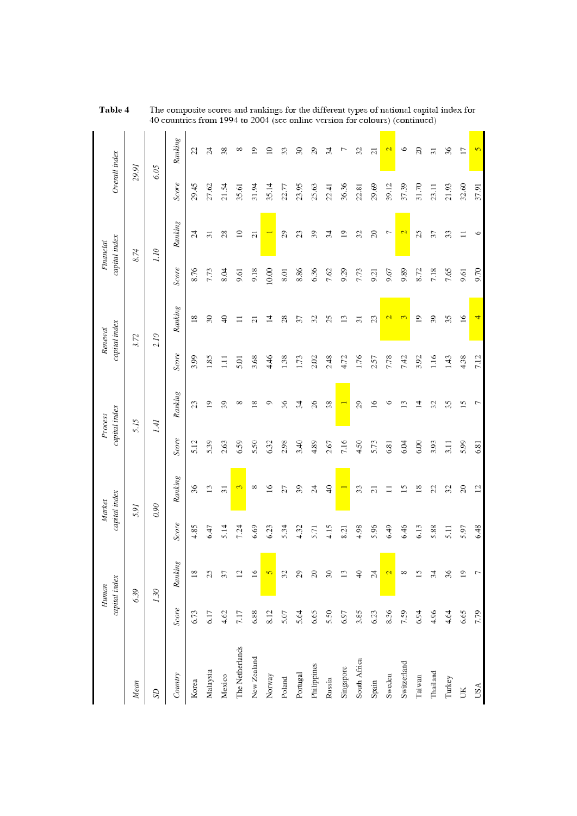|                 |       | capital index<br>Human |       | capital index<br>Market |       | capital index<br>Process | Renewal | capital index   |       | capital index<br>Financial | Overall index |                |
|-----------------|-------|------------------------|-------|-------------------------|-------|--------------------------|---------|-----------------|-------|----------------------------|---------------|----------------|
| Mean            |       | 6.39                   |       | 5.91                    |       | 5.15                     |         | 3.72            |       | 8.74                       | 29.91         |                |
| SD              |       | 1.30                   |       | 0.90                    |       | 1.41                     |         | 2.10            |       | 07.1                       | 6.05          |                |
| Country         | Score | Ranking                | Score | Ranking                 | Score | Ranking                  | Score   | Ranking         | Score | Ranking                    | Score         | Ranking        |
| Korea           | 6.73  | $\frac{8}{18}$         | 4.85  | 36                      | 5.12  | 23                       | 3.99    | $\frac{8}{2}$   | 8.76  | $\overline{z}$             | 29.45         | S,             |
| Malaysia        | 6.17  | 25                     | 6.47  | $\mathbf{13}$           | 5.39  | $\overline{19}$          | 1.85    | $\mathcal{E}$   | 7.73  | $\overline{31}$            | 27.62         | Å              |
| Mexico          | 4.62  | 37                     | 5.14  | $\overline{31}$         | 2.63  | 39                       | $\Xi$   | $\Theta$        | Ю.8   | 28                         | 21.54         | 38             |
| The Netherlands | 7.17  | $\overline{c}$         | 7.24  | 3                       | 6.59  | ∞                        | 5.01    | $\equiv$        | 9.61  | $\supseteq$                | 35.61         | ∞              |
| New Zealand     | 6.88  | $\overline{16}$        | 6.69  | $^{\circ}$              | 5.50  | $\frac{8}{2}$            | 3.68    | $\overline{c}$  | 9.18  | $\overline{c}$             | 31.94         | $\supseteq$    |
| Norway          | 8.12  | $\overline{5}$         | 6.23  | $\overline{16}$         | 6.32  | っ                        | 4.46    | $\overline{4}$  | 10.00 |                            | 35.14         | $\supseteq$    |
| Poland          | 5.07  | 32                     | 5.34  | 27                      | 2.98  | 36                       | 1.38    | $^{28}$         | 8.01  | 29                         | 22.77         | 33             |
| Portugal        | 5.64  | 29                     | 4.32  | 39                      | 3.40  | 34                       | 1.73    | 57              | 8.86  | 23                         | 23.95         | R              |
| Philippines     | 6.65  | $\Omega$               | 5.71  | 24                      | 4.89  | 26                       | 2.02    | 32              | 6.36  | 39                         | 25.63         | 29             |
| Russia          | 5.50  | $\overline{30}$        | 4.15  | $\Theta$                | 2.67  | 38                       | 2.48    | 25              | 7.62  | 34                         | 22.41         | z              |
| Singapore       | 6.97  | $\mathbf{13}$          | 8.21  |                         | 7.16  |                          | 4.72    | 13              | 9.29  | $\overline{19}$            | 36.36         |                |
| South Africa    | 3.85  | $\Theta$               | 4.98  | 33                      | 4.50  | $\mathfrak{S}$           | 1.76    | $\overline{31}$ | 7.73  | 32                         | 22.81         | 32             |
| Spain           | 6.23  | 24                     | 5.96  | $\overline{c}$          | 5.73  | $\frac{6}{2}$            | 2.57    | 23              | 9.21  | $\approx$                  | 29.69         | $\overline{a}$ |
| Sweden          | 8.36  | $\mathbf{c}$           | 6.49  |                         | 6.81  | ≏                        | 7.78    | $\mathbf{C}$    | 9.67  | Γ                          | 39.12         | 2              |
| Switzerland     | 7.59  | ∞                      | 6.46  | $\tilde{15}$            | 6.04  |                          | 7.42    | $\mathfrak{S}$  | 9.89  | $\mathbf{C}$               | 37.39         | ७              |
| Taiwan          | 6.94  | $\overline{15}$        | 6.13  | $\frac{8}{2}$           | 6.00  | 4                        | 3.92    | $\overline{19}$ | 8.72  | 25                         | 31.70         | 8              |
| Thailand        | 4.96  | 34                     | 5.88  | g                       | 3.93  | 32                       | 1.16    | 39              | 7.18  | 37                         | 23.11         | ಸ              |
| Turkey          | 4.64  | 36                     | 5.11  | 32                      | 3.11  | 35                       | 1.43    | 35              | 7.65  | 33                         | 21.93         | $\%$           |
| ŬК              | 6.65  | $\overline{1}$         | 5.97  | $\approx$               | 5.99  | 15                       | 4.38    | $\geq$          | 9.61  |                            | 32.60         | IJ             |
| USA             | 7.79  | Γ                      | 6.48  | $\overline{c}$          | 6.81  |                          | 7.12    |                 | 9.70  | O                          | 37.91         | $\overline{5}$ |

The composite scores and rankings for the different types of national capital index for 40 countries from 1994 to  $2004$  (see online version for colours) (continued) Table 4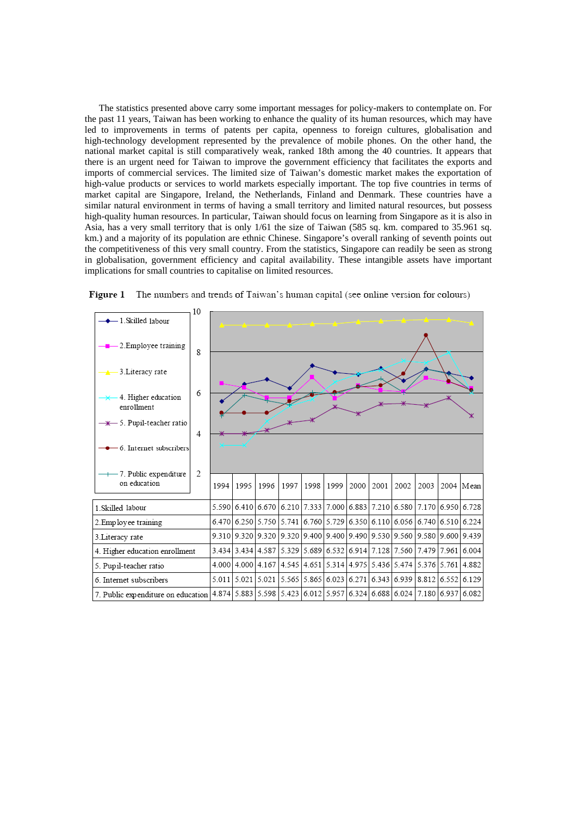The statistics presented above carry some important messages for policy-makers to contemplate on. For the past 11 years, Taiwan has been working to enhance the quality of its human resources, which may have led to improvements in terms of patents per capita, openness to foreign cultures, globalisation and high-technology development represented by the prevalence of mobile phones. On the other hand, the national market capital is still comparatively weak, ranked 18th among the 40 countries. It appears that there is an urgent need for Taiwan to improve the government efficiency that facilitates the exports and imports of commercial services. The limited size of Taiwan's domestic market makes the exportation of high-value products or services to world markets especially important. The top five countries in terms of market capital are Singapore, Ireland, the Netherlands, Finland and Denmark. These countries have a similar natural environment in terms of having a small territory and limited natural resources, but possess high-quality human resources. In particular, Taiwan should focus on learning from Singapore as it is also in Asia, has a very small territory that is only 1/61 the size of Taiwan (585 sq. km. compared to 35.961 sq. km.) and a majority of its population are ethnic Chinese. Singapore's overall ranking of seventh points out the competitiveness of this very small country. From the statistics, Singapore can readily be seen as strong in globalisation, government efficiency and capital availability. These intangible assets have important implications for small countries to capitalise on limited resources.



**Figure 1** The numbers and trends of Taiwan's human capital (see online version for colours)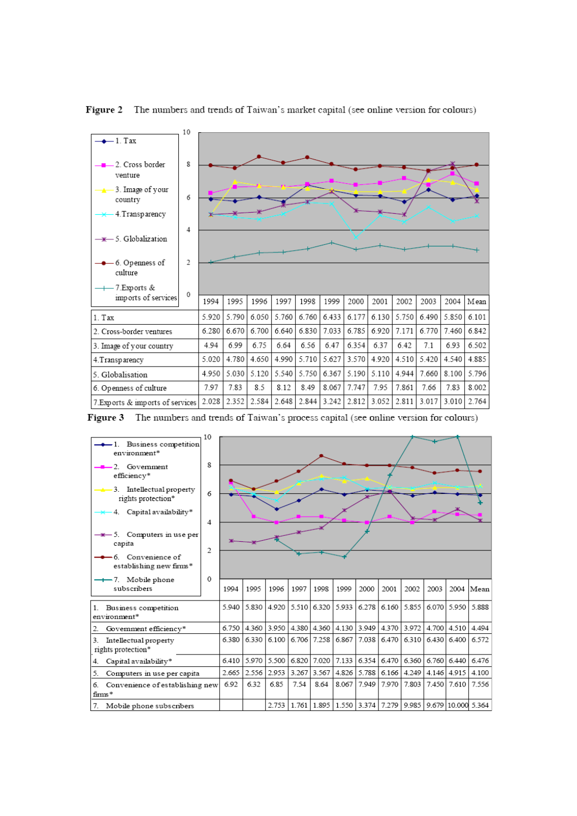

Figure 2 The numbers and trends of Taiwan's market capital (see online version for colours)

Figure 3 The numbers and trends of Taiwan's process capital (see online version for colours)

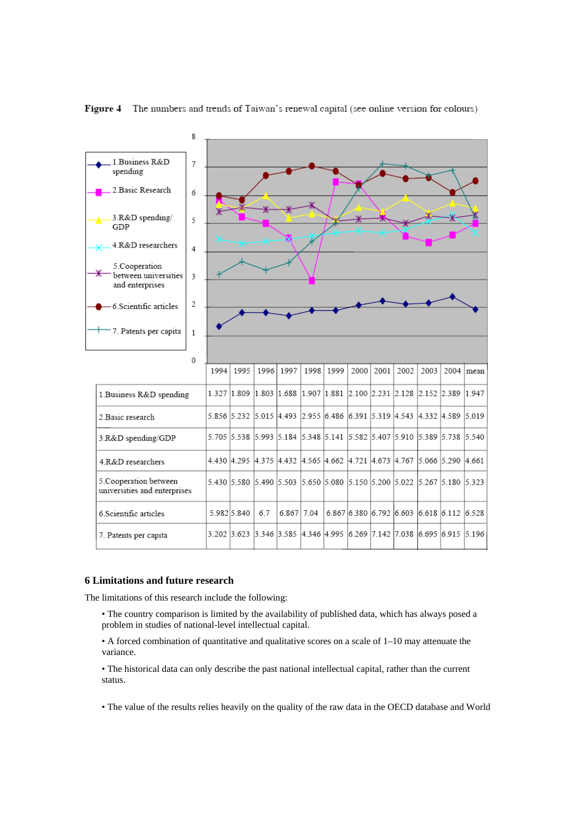

#### Figure 4 The numbers and trends of Taiwan's renewal capital (see online version for colours)

# **6 Limitations and future research**

The limitations of this research include the following:

- The country comparison is limited by the availability of published data, which has always posed a problem in studies of national-level intellectual capital.
- A forced combination of quantitative and qualitative scores on a scale of 1–10 may attenuate the variance.

• The historical data can only describe the past national intellectual capital, rather than the current status.

• The value of the results relies heavily on the quality of the raw data in the OECD database and World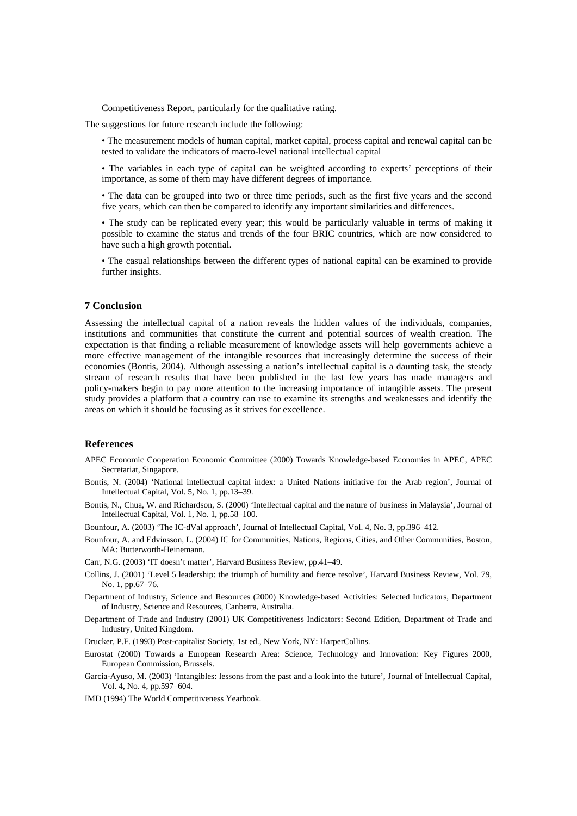Competitiveness Report, particularly for the qualitative rating.

The suggestions for future research include the following:

• The measurement models of human capital, market capital, process capital and renewal capital can be tested to validate the indicators of macro-level national intellectual capital

• The variables in each type of capital can be weighted according to experts' perceptions of their importance, as some of them may have different degrees of importance.

• The data can be grouped into two or three time periods, such as the first five years and the second five years, which can then be compared to identify any important similarities and differences.

• The study can be replicated every year; this would be particularly valuable in terms of making it possible to examine the status and trends of the four BRIC countries, which are now considered to have such a high growth potential.

• The casual relationships between the different types of national capital can be examined to provide further insights.

# **7 Conclusion**

Assessing the intellectual capital of a nation reveals the hidden values of the individuals, companies, institutions and communities that constitute the current and potential sources of wealth creation. The expectation is that finding a reliable measurement of knowledge assets will help governments achieve a more effective management of the intangible resources that increasingly determine the success of their economies (Bontis, 2004). Although assessing a nation's intellectual capital is a daunting task, the steady stream of research results that have been published in the last few years has made managers and policy-makers begin to pay more attention to the increasing importance of intangible assets. The present study provides a platform that a country can use to examine its strengths and weaknesses and identify the areas on which it should be focusing as it strives for excellence.

# **References**

- APEC Economic Cooperation Economic Committee (2000) Towards Knowledge-based Economies in APEC, APEC Secretariat, Singapore.
- Bontis, N. (2004) 'National intellectual capital index: a United Nations initiative for the Arab region', Journal of Intellectual Capital, Vol. 5, No. 1, pp.13–39.
- Bontis, N., Chua, W. and Richardson, S. (2000) 'Intellectual capital and the nature of business in Malaysia', Journal of Intellectual Capital, Vol. 1, No. 1, pp.58–100.

Bounfour, A. (2003) 'The IC-dVal approach', Journal of Intellectual Capital, Vol. 4, No. 3, pp.396–412.

Bounfour, A. and Edvinsson, L. (2004) IC for Communities, Nations, Regions, Cities, and Other Communities, Boston, MA: Butterworth-Heinemann.

Carr, N.G. (2003) 'IT doesn't matter', Harvard Business Review, pp.41–49.

- Collins, J. (2001) 'Level 5 leadership: the triumph of humility and fierce resolve', Harvard Business Review, Vol. 79, No. 1, pp.67–76.
- Department of Industry, Science and Resources (2000) Knowledge-based Activities: Selected Indicators, Department of Industry, Science and Resources, Canberra, Australia.
- Department of Trade and Industry (2001) UK Competitiveness Indicators: Second Edition, Department of Trade and Industry, United Kingdom.
- Drucker, P.F. (1993) Post-capitalist Society, 1st ed., New York, NY: HarperCollins.
- Eurostat (2000) Towards a European Research Area: Science, Technology and Innovation: Key Figures 2000, European Commission, Brussels.
- Garcia-Ayuso, M. (2003) 'Intangibles: lessons from the past and a look into the future', Journal of Intellectual Capital, Vol. 4, No. 4, pp.597–604.
- IMD (1994) The World Competitiveness Yearbook.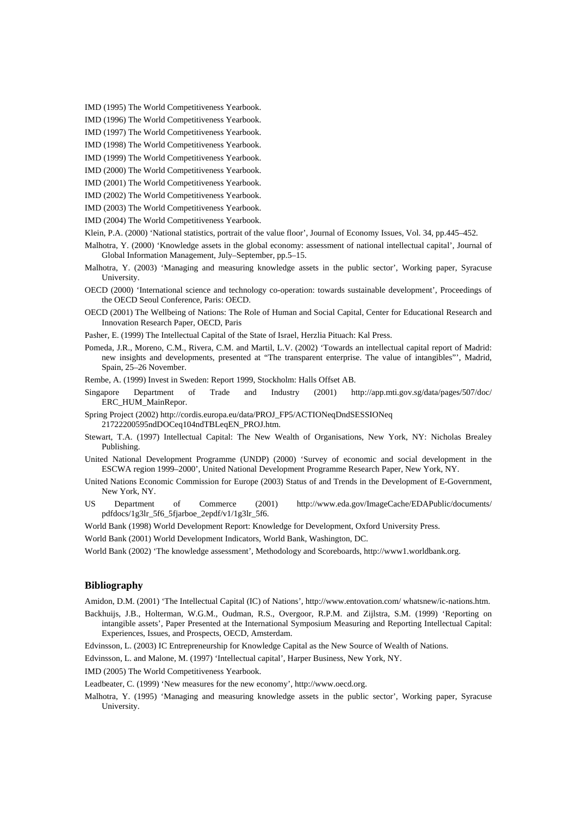IMD (1995) The World Competitiveness Yearbook.

IMD (1996) The World Competitiveness Yearbook.

IMD (1997) The World Competitiveness Yearbook.

IMD (1998) The World Competitiveness Yearbook.

IMD (1999) The World Competitiveness Yearbook.

IMD (2000) The World Competitiveness Yearbook.

IMD (2001) The World Competitiveness Yearbook.

IMD (2002) The World Competitiveness Yearbook.

IMD (2003) The World Competitiveness Yearbook.

IMD (2004) The World Competitiveness Yearbook.

Klein, P.A. (2000) 'National statistics, portrait of the value floor', Journal of Economy Issues, Vol. 34, pp.445–452.

Malhotra, Y. (2000) 'Knowledge assets in the global economy: assessment of national intellectual capital', Journal of Global Information Management, July–September, pp.5–15.

Malhotra, Y. (2003) 'Managing and measuring knowledge assets in the public sector', Working paper, Syracuse University.

OECD (2000) 'International science and technology co-operation: towards sustainable development', Proceedings of the OECD Seoul Conference, Paris: OECD.

OECD (2001) The Wellbeing of Nations: The Role of Human and Social Capital, Center for Educational Research and Innovation Research Paper, OECD, Paris

Pasher, E. (1999) The Intellectual Capital of the State of Israel, Herzlia Pituach: Kal Press.

Pomeda, J.R., Moreno, C.M., Rivera, C.M. and Martil, L.V. (2002) 'Towards an intellectual capital report of Madrid: new insights and developments, presented at "The transparent enterprise. The value of intangibles"', Madrid, Spain, 25–26 November.

Rembe, A. (1999) Invest in Sweden: Report 1999, Stockholm: Halls Offset AB.

- Singapore Department of Trade and Industry (2001) http://app.mti.gov.sg/data/pages/507/doc/ ERC\_HUM\_MainRepor.
- Spring Project (2002) http://cordis.europa.eu/data/PROJ\_FP5/ACTIONeqDndSESSIONeq 21722200595ndDOCeq104ndTBLeqEN\_PROJ.htm.
- Stewart, T.A. (1997) Intellectual Capital: The New Wealth of Organisations, New York, NY: Nicholas Brealey Publishing.

United National Development Programme (UNDP) (2000) 'Survey of economic and social development in the ESCWA region 1999–2000', United National Development Programme Research Paper, New York, NY.

- United Nations Economic Commission for Europe (2003) Status of and Trends in the Development of E-Government, New York, NY.
- US Department of Commerce (2001) http://www.eda.gov/ImageCache/EDAPublic/documents/ pdfdocs/1g3lr\_5f6\_5fjarboe\_2epdf/v1/1g3lr\_5f6.
- World Bank (1998) World Development Report: Knowledge for Development, Oxford University Press.

World Bank (2001) World Development Indicators, World Bank, Washington, DC.

World Bank (2002) 'The knowledge assessment', Methodology and Scoreboards, http://www1.worldbank.org.

## **Bibliography**

Amidon, D.M. (2001) 'The Intellectual Capital (IC) of Nations', http://www.entovation.com/ whatsnew/ic-nations.htm.

- Backhuijs, J.B., Holterman, W.G.M., Oudman, R.S., Overgoor, R.P.M. and Zijlstra, S.M. (1999) 'Reporting on intangible assets', Paper Presented at the International Symposium Measuring and Reporting Intellectual Capital: Experiences, Issues, and Prospects, OECD, Amsterdam.
- Edvinsson, L. (2003) IC Entrepreneurship for Knowledge Capital as the New Source of Wealth of Nations.

Edvinsson, L. and Malone, M. (1997) 'Intellectual capital', Harper Business, New York, NY.

IMD (2005) The World Competitiveness Yearbook.

- Leadbeater, C. (1999) 'New measures for the new economy', http://www.oecd.org.
- Malhotra, Y. (1995) 'Managing and measuring knowledge assets in the public sector', Working paper, Syracuse University.